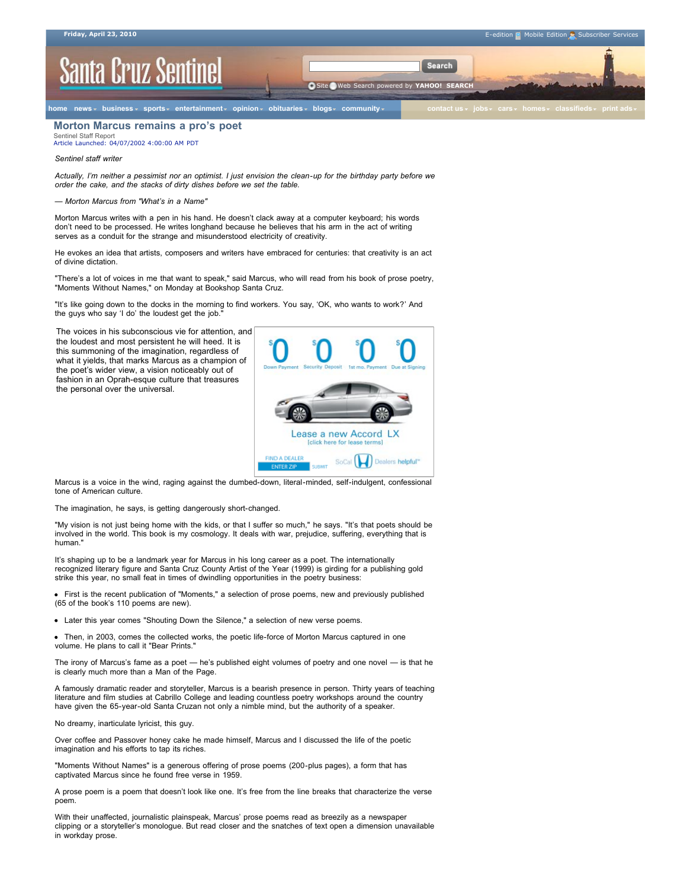## **Santa Cruz Sentinel**

Site Web Search powered by **YAHOO! SEARCH**

ome news »business » sports » entertainment » opinion » obituaries » blogs » community » in the contact us » jobs » cars » [home](http://www.santacruzsentinel.com/)s » [classifieds](http://santacruzsentinel.kaango.com/) » [print ads](http://santacruzsentinel.ca.newsmemory.com/marketplace.php)

Search

## **Morton Marcus remains a pro's poet**

Sentinel Staff Report Article Launched: 04/07/2002 4:00:00 AM PDT

## *Sentinel staff writer*

*Actually, I'm neither a pessimist nor an optimist. I just envision the clean-up for the birthday party before we order the cake, and the stacks of dirty dishes before we set the table.*

*— Morton Marcus from "What's in a Name"*

Morton Marcus writes with a pen in his hand. He doesn't clack away at a computer keyboard; his words don't need to be processed. He writes longhand because he believes that his arm in the act of writing serves as a conduit for the strange and misunderstood electricity of creativity.

He evokes an idea that artists, composers and writers have embraced for centuries: that creativity is an act of divine dictation.

"There's a lot of voices in me that want to speak," said Marcus, who will read from his book of prose poetry, "Moments Without Names," on Monday at Bookshop Santa Cruz.

"It's like going down to the docks in the morning to find workers. You say, 'OK, who wants to work?' And the guys who say 'I do' the loudest get the job.

The voices in his subconscious vie for attention, and the loudest and most persistent he will heed. It is this summoning of the imagination, regardless of what it yields, that marks Marcus as a champion of the poet's wider view, a vision noticeably out of fashion in an Oprah-esque culture that treasures the personal over the universal.



Marcus is a voice in the wind, raging against the dumbed-down, literal-minded, self-indulgent, confessional tone of American culture.

The imagination, he says, is getting dangerously short-changed.

"My vision is not just being home with the kids, or that I suffer so much," he says. "It's that poets should be involved in the world. This book is my cosmology. It deals with war, prejudice, suffering, everything that is human."

It's shaping up to be a landmark year for Marcus in his long career as a poet. The internationally recognized literary figure and Santa Cruz County Artist of the Year (1999) is girding for a publishing gold strike this year, no small feat in times of dwindling opportunities in the poetry business:

 First is the recent publication of "Moments," a selection of prose poems, new and previously published (65 of the book's 110 poems are new).

Later this year comes "Shouting Down the Silence," a selection of new verse poems.

 Then, in 2003, comes the collected works, the poetic life-force of Morton Marcus captured in one volume. He plans to call it "Bear Prints."

The irony of Marcus's fame as a poet — he's published eight volumes of poetry and one novel — is that he is clearly much more than a Man of the Page.

A famously dramatic reader and storyteller, Marcus is a bearish presence in person. Thirty years of teaching literature and film studies at Cabrillo College and leading countless poetry workshops around the country have given the 65-year-old Santa Cruzan not only a nimble mind, but the authority of a speaker.

No dreamy, inarticulate lyricist, this guy.

Over coffee and Passover honey cake he made himself, Marcus and I discussed the life of the poetic imagination and his efforts to tap its riches.

"Moments Without Names" is a generous offering of prose poems (200-plus pages), a form that has captivated Marcus since he found free verse in 1959.

A prose poem is a poem that doesn't look like one. It's free from the line breaks that characterize the verse poem.

With their unaffected, journalistic plainspeak, Marcus' prose poems read as breezily as a newspaper clipping or a storyteller's monologue. But read closer and the snatches of text open a dimension unavailable in workday prose.